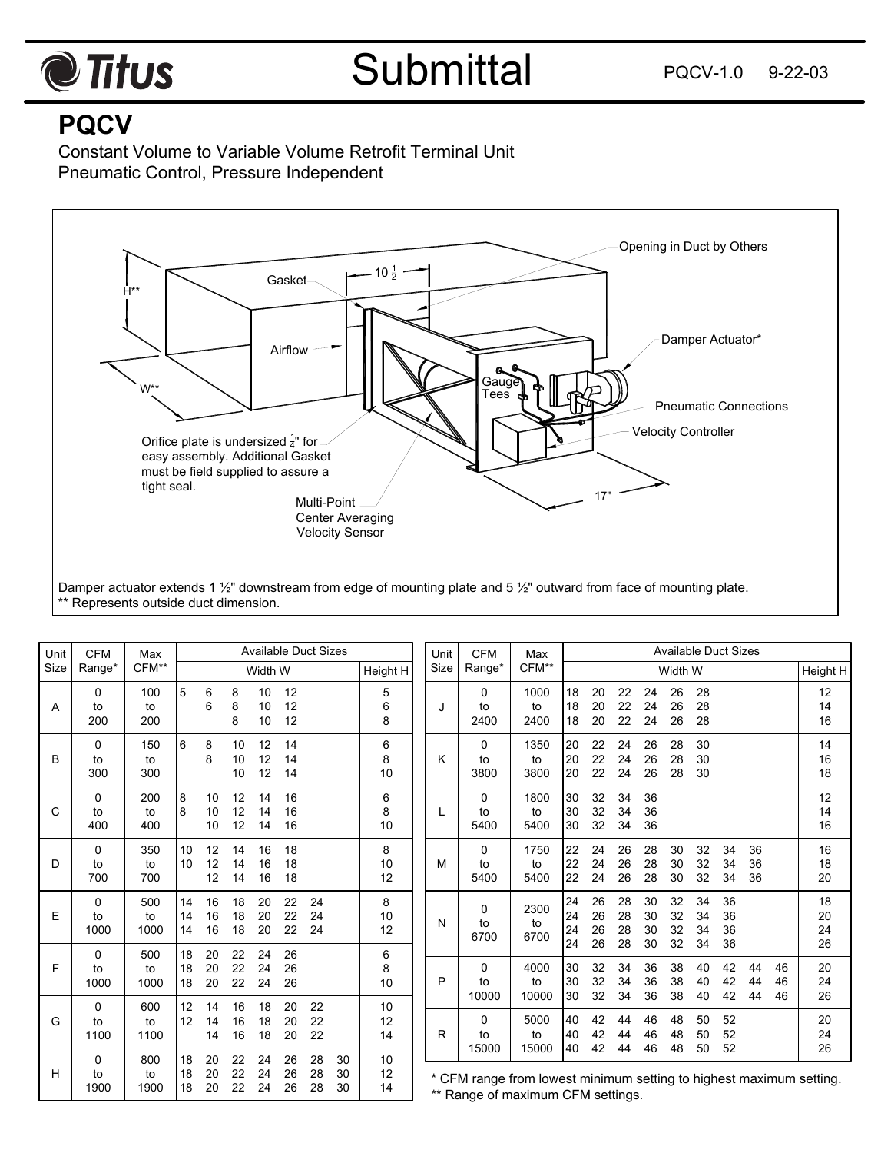

## **PQCV**

Constant Volume to Variable Volume Retrofit Terminal Unit Pneumatic Control, Pressure Independent



\*\* Represents outside duct dimension.

| Unit | <b>CFM</b><br>Range*  | Max<br>CFM**      | <b>Available Duct Sizes</b> |                |                |                |                |                |                |                |        | Unit  | <b>CFM</b>                  | Max                                                                                                       | <b>Available Duct Sizes</b> |                      |                      |                      |                      |                      |                      |                |                |                      |
|------|-----------------------|-------------------|-----------------------------|----------------|----------------|----------------|----------------|----------------|----------------|----------------|--------|-------|-----------------------------|-----------------------------------------------------------------------------------------------------------|-----------------------------|----------------------|----------------------|----------------------|----------------------|----------------------|----------------------|----------------|----------------|----------------------|
| Size |                       |                   | Width W                     |                |                |                |                | Height H       |                | Size           | Range* | CFM** | Width W                     |                                                                                                           |                             |                      |                      |                      |                      |                      | Height H             |                |                |                      |
| A    | 0<br>to<br>200        | 100<br>to<br>200  | 5                           | 6<br>6         | 8<br>8<br>8    | 10<br>10<br>10 | 12<br>12<br>12 |                |                | 5<br>6<br>8    |        | J     | 0<br>to<br>2400             | 1000<br>to<br>2400                                                                                        | 18<br>18<br>18              | 20<br>20<br>20       | 22<br>22<br>22       | 24<br>24<br>24       | 26<br>26<br>26       | 28<br>28<br>28       |                      |                |                | 12<br>14<br>16       |
| В    | $\Omega$<br>to<br>300 | 150<br>to<br>300  | 6                           | 8<br>8         | 10<br>10<br>10 | 12<br>12<br>12 | 14<br>14<br>14 |                |                | 6<br>8<br>10   |        | Κ     | 0<br>to<br>3800             | 1350<br>to<br>3800                                                                                        | 20<br>20<br>20              | 22<br>22<br>22       | 24<br>24<br>24       | 26<br>26<br>26       | 28<br>28<br>28       | 30<br>30<br>30       |                      |                |                | 14<br>16<br>18       |
| C    | 0<br>to<br>400        | 200<br>to<br>400  | 8<br>8                      | 10<br>10<br>10 | 12<br>12<br>12 | 14<br>14<br>14 | 16<br>16<br>16 |                |                | 6<br>8<br>10   |        | L     | 0<br>to<br>5400             | 1800<br>to<br>5400                                                                                        | 30<br>30<br>30              | 32<br>32<br>32       | 34<br>34<br>34       | 36<br>36<br>36       |                      |                      |                      |                |                | 12<br>14<br>16       |
| D    | $\Omega$<br>to<br>700 | 350<br>to<br>700  | 10<br>10                    | 12<br>12<br>12 | 14<br>14<br>14 | 16<br>16<br>16 | 18<br>18<br>18 |                |                | 8<br>10<br>12  |        | м     | 0<br>to<br>5400             | 1750<br>to<br>5400                                                                                        | 22<br>22<br>22              | 24<br>24<br>24       | 26<br>26<br>26       | 28<br>28<br>28       | 30<br>30<br>30       | 32<br>32<br>32       | 34<br>34<br>34       | 36<br>36<br>36 |                | 16<br>18<br>20       |
| Ε    | 0<br>to<br>1000       | 500<br>to<br>1000 | 14<br>14<br>14              | 16<br>16<br>16 | 18<br>18<br>18 | 20<br>20<br>20 | 22<br>22<br>22 | 24<br>24<br>24 |                | 8<br>10<br>12  |        | N     | 0<br>to<br>6700             | 2300<br>to<br>6700                                                                                        | 24<br>24<br>24<br>24        | 26<br>26<br>26<br>26 | 28<br>28<br>28<br>28 | 30<br>30<br>30<br>30 | 32<br>32<br>32<br>32 | 34<br>34<br>34<br>34 | 36<br>36<br>36<br>36 |                |                | 18<br>20<br>24<br>26 |
| F    | 0<br>to<br>1000       | 500<br>to<br>1000 | 18<br>18<br>18              | 20<br>20<br>20 | 22<br>22<br>22 | 24<br>24<br>24 | 26<br>26<br>26 |                |                | 6<br>8<br>10   |        | P     | 0<br>to<br>10000            | 4000<br>to<br>10000                                                                                       | 30<br>30<br>30              | 32<br>32<br>32       | 34<br>34<br>34       | 36<br>36<br>36       | 38<br>38<br>38       | 40<br>40<br>40       | 42<br>42<br>42       | 44<br>44<br>44 | 46<br>46<br>46 | 20<br>24<br>26       |
| G    | 0<br>to<br>1100       | 600<br>to<br>1100 | 12<br>12                    | 14<br>14<br>14 | 16<br>16<br>16 | 18<br>18<br>18 | 20<br>20<br>20 | 22<br>22<br>22 |                | 10<br>12<br>14 |        | R     | $\mathbf{0}$<br>to<br>15000 | 5000<br>to<br>15000                                                                                       | 40<br>40<br>40              | 42<br>42<br>42       | 44<br>44<br>44       | 46<br>46<br>46       | 48<br>48<br>48       | 50<br>50<br>50       | 52<br>52<br>52       |                |                | 20<br>24<br>26       |
| H    | 0<br>to<br>1900       | 800<br>to<br>1900 | 18<br>18<br>18              | 20<br>20<br>20 | 22<br>22<br>22 | 24<br>24<br>24 | 26<br>26<br>26 | 28<br>28<br>28 | 30<br>30<br>30 | 10<br>12<br>14 |        |       |                             | * CFM range from lowest minimum setting to highest maximum setting.<br>$**$ Dange of movimum CFM settings |                             |                      |                      |                      |                      |                      |                      |                |                |                      |

\*\* Range of maximum CFM settings.